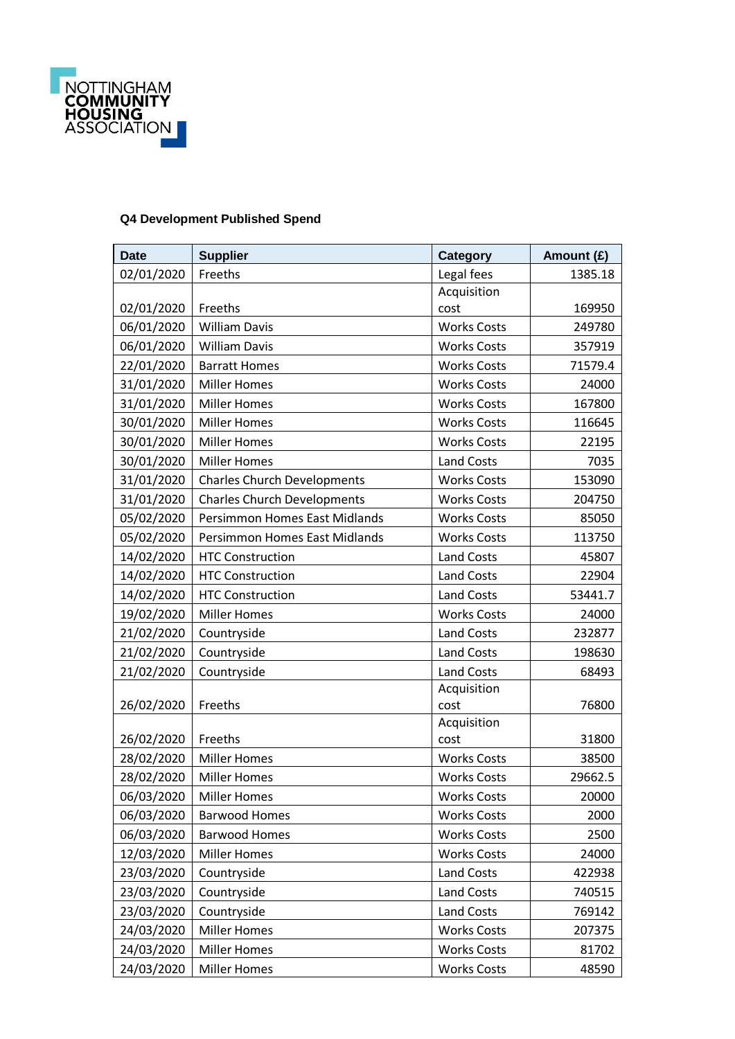

## **Q4 Development Published Spend**

| <b>Date</b> | <b>Supplier</b>                      | <b>Category</b>    | Amount (£) |
|-------------|--------------------------------------|--------------------|------------|
| 02/01/2020  | Freeths                              | Legal fees         | 1385.18    |
|             |                                      | Acquisition        |            |
| 02/01/2020  | Freeths                              | cost               | 169950     |
| 06/01/2020  | <b>William Davis</b>                 | <b>Works Costs</b> | 249780     |
| 06/01/2020  | <b>William Davis</b>                 | <b>Works Costs</b> | 357919     |
| 22/01/2020  | <b>Barratt Homes</b>                 | <b>Works Costs</b> | 71579.4    |
| 31/01/2020  | <b>Miller Homes</b>                  | <b>Works Costs</b> | 24000      |
| 31/01/2020  | <b>Miller Homes</b>                  | <b>Works Costs</b> | 167800     |
| 30/01/2020  | <b>Miller Homes</b>                  | <b>Works Costs</b> | 116645     |
| 30/01/2020  | <b>Miller Homes</b>                  | <b>Works Costs</b> | 22195      |
| 30/01/2020  | <b>Miller Homes</b>                  | <b>Land Costs</b>  | 7035       |
| 31/01/2020  | <b>Charles Church Developments</b>   | <b>Works Costs</b> | 153090     |
| 31/01/2020  | <b>Charles Church Developments</b>   | <b>Works Costs</b> | 204750     |
| 05/02/2020  | <b>Persimmon Homes East Midlands</b> | <b>Works Costs</b> | 85050      |
| 05/02/2020  | <b>Persimmon Homes East Midlands</b> | <b>Works Costs</b> | 113750     |
| 14/02/2020  | <b>HTC Construction</b>              | <b>Land Costs</b>  | 45807      |
| 14/02/2020  | <b>HTC Construction</b>              | <b>Land Costs</b>  | 22904      |
| 14/02/2020  | <b>HTC Construction</b>              | <b>Land Costs</b>  | 53441.7    |
| 19/02/2020  | <b>Miller Homes</b>                  | <b>Works Costs</b> | 24000      |
| 21/02/2020  | Countryside                          | <b>Land Costs</b>  | 232877     |
| 21/02/2020  | Countryside                          | <b>Land Costs</b>  | 198630     |
| 21/02/2020  | Countryside                          | <b>Land Costs</b>  | 68493      |
|             |                                      | Acquisition        |            |
| 26/02/2020  | Freeths                              | cost               | 76800      |
|             |                                      | Acquisition        |            |
| 26/02/2020  | Freeths                              | cost               | 31800      |
| 28/02/2020  | <b>Miller Homes</b>                  | <b>Works Costs</b> | 38500      |
| 28/02/2020  | <b>Miller Homes</b>                  | <b>Works Costs</b> | 29662.5    |
| 06/03/2020  | Miller Homes                         | <b>Works Costs</b> | 20000      |
| 06/03/2020  | <b>Barwood Homes</b>                 | <b>Works Costs</b> | 2000       |
| 06/03/2020  | <b>Barwood Homes</b>                 | <b>Works Costs</b> | 2500       |
| 12/03/2020  | <b>Miller Homes</b>                  | <b>Works Costs</b> | 24000      |
| 23/03/2020  | Countryside                          | Land Costs         | 422938     |
| 23/03/2020  | Countryside                          | Land Costs         | 740515     |
| 23/03/2020  | Countryside                          | Land Costs         | 769142     |
| 24/03/2020  | <b>Miller Homes</b>                  | <b>Works Costs</b> | 207375     |
| 24/03/2020  | <b>Miller Homes</b>                  | <b>Works Costs</b> | 81702      |
| 24/03/2020  | <b>Miller Homes</b>                  | <b>Works Costs</b> | 48590      |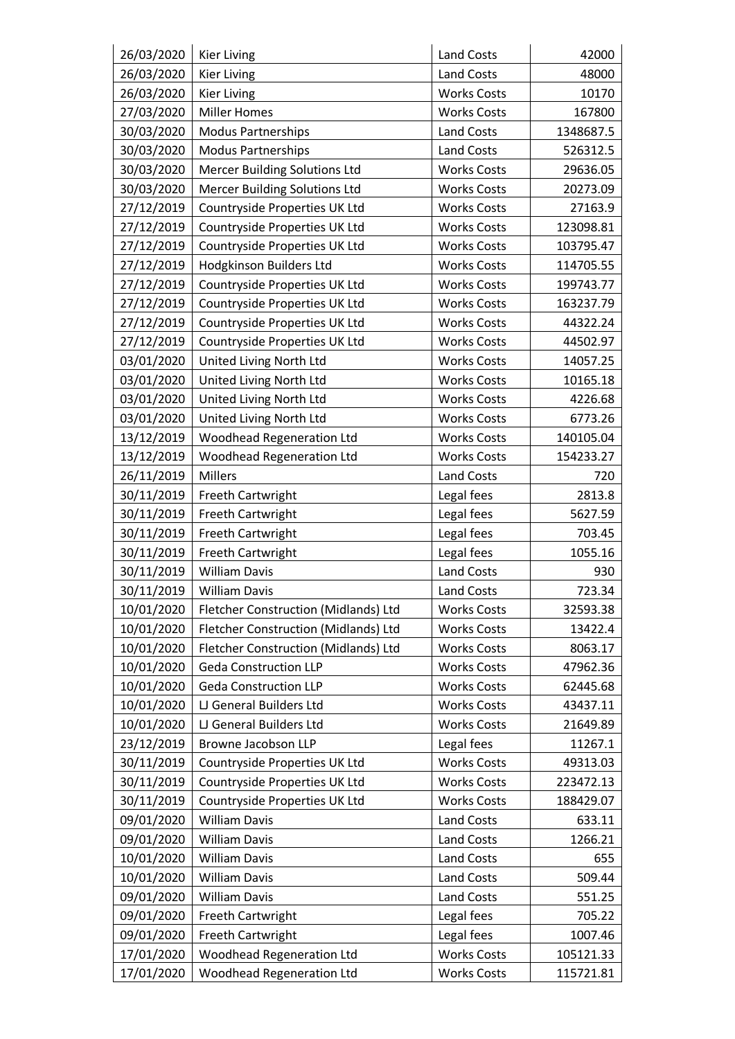| 26/03/2020 | <b>Kier Living</b>                   | Land Costs         | 42000     |
|------------|--------------------------------------|--------------------|-----------|
| 26/03/2020 | <b>Kier Living</b>                   | Land Costs         | 48000     |
| 26/03/2020 | <b>Kier Living</b>                   | <b>Works Costs</b> | 10170     |
| 27/03/2020 | <b>Miller Homes</b>                  | <b>Works Costs</b> | 167800    |
| 30/03/2020 | <b>Modus Partnerships</b>            | Land Costs         | 1348687.5 |
| 30/03/2020 | <b>Modus Partnerships</b>            | Land Costs         | 526312.5  |
| 30/03/2020 | <b>Mercer Building Solutions Ltd</b> | <b>Works Costs</b> | 29636.05  |
| 30/03/2020 | Mercer Building Solutions Ltd        | <b>Works Costs</b> | 20273.09  |
| 27/12/2019 | Countryside Properties UK Ltd        | <b>Works Costs</b> | 27163.9   |
| 27/12/2019 | Countryside Properties UK Ltd        | <b>Works Costs</b> | 123098.81 |
| 27/12/2019 | Countryside Properties UK Ltd        | <b>Works Costs</b> | 103795.47 |
| 27/12/2019 | Hodgkinson Builders Ltd              | <b>Works Costs</b> | 114705.55 |
| 27/12/2019 | Countryside Properties UK Ltd        | <b>Works Costs</b> | 199743.77 |
| 27/12/2019 | Countryside Properties UK Ltd        | <b>Works Costs</b> | 163237.79 |
| 27/12/2019 | Countryside Properties UK Ltd        | <b>Works Costs</b> | 44322.24  |
| 27/12/2019 | Countryside Properties UK Ltd        | <b>Works Costs</b> | 44502.97  |
| 03/01/2020 | United Living North Ltd              | <b>Works Costs</b> | 14057.25  |
| 03/01/2020 | United Living North Ltd              | <b>Works Costs</b> | 10165.18  |
| 03/01/2020 | United Living North Ltd              | <b>Works Costs</b> | 4226.68   |
| 03/01/2020 | United Living North Ltd              | <b>Works Costs</b> | 6773.26   |
| 13/12/2019 | <b>Woodhead Regeneration Ltd</b>     | <b>Works Costs</b> | 140105.04 |
| 13/12/2019 | <b>Woodhead Regeneration Ltd</b>     | <b>Works Costs</b> | 154233.27 |
| 26/11/2019 | <b>Millers</b>                       | Land Costs         | 720       |
| 30/11/2019 | Freeth Cartwright                    | Legal fees         | 2813.8    |
| 30/11/2019 | Freeth Cartwright                    | Legal fees         | 5627.59   |
| 30/11/2019 | Freeth Cartwright                    | Legal fees         | 703.45    |
| 30/11/2019 | Freeth Cartwright                    | Legal fees         | 1055.16   |
| 30/11/2019 | <b>William Davis</b>                 | Land Costs         | 930       |
| 30/11/2019 | <b>William Davis</b>                 | <b>Land Costs</b>  | 723.34    |
| 10/01/2020 | Fletcher Construction (Midlands) Ltd | <b>Works Costs</b> | 32593.38  |
| 10/01/2020 | Fletcher Construction (Midlands) Ltd | <b>Works Costs</b> | 13422.4   |
| 10/01/2020 | Fletcher Construction (Midlands) Ltd | <b>Works Costs</b> | 8063.17   |
| 10/01/2020 | <b>Geda Construction LLP</b>         | <b>Works Costs</b> | 47962.36  |
| 10/01/2020 | <b>Geda Construction LLP</b>         | <b>Works Costs</b> | 62445.68  |
| 10/01/2020 | LJ General Builders Ltd              | <b>Works Costs</b> | 43437.11  |
| 10/01/2020 | LJ General Builders Ltd              | <b>Works Costs</b> | 21649.89  |
| 23/12/2019 | Browne Jacobson LLP                  | Legal fees         | 11267.1   |
| 30/11/2019 | Countryside Properties UK Ltd        | <b>Works Costs</b> | 49313.03  |
| 30/11/2019 | Countryside Properties UK Ltd        | <b>Works Costs</b> | 223472.13 |
| 30/11/2019 | Countryside Properties UK Ltd        | <b>Works Costs</b> | 188429.07 |
| 09/01/2020 | <b>William Davis</b>                 | <b>Land Costs</b>  | 633.11    |
| 09/01/2020 | <b>William Davis</b>                 | Land Costs         | 1266.21   |
| 10/01/2020 | <b>William Davis</b>                 | Land Costs         | 655       |
| 10/01/2020 | <b>William Davis</b>                 | Land Costs         | 509.44    |
| 09/01/2020 | <b>William Davis</b>                 | Land Costs         | 551.25    |
| 09/01/2020 | Freeth Cartwright                    | Legal fees         | 705.22    |
| 09/01/2020 | Freeth Cartwright                    | Legal fees         | 1007.46   |
| 17/01/2020 | <b>Woodhead Regeneration Ltd</b>     | <b>Works Costs</b> | 105121.33 |
| 17/01/2020 | <b>Woodhead Regeneration Ltd</b>     | <b>Works Costs</b> | 115721.81 |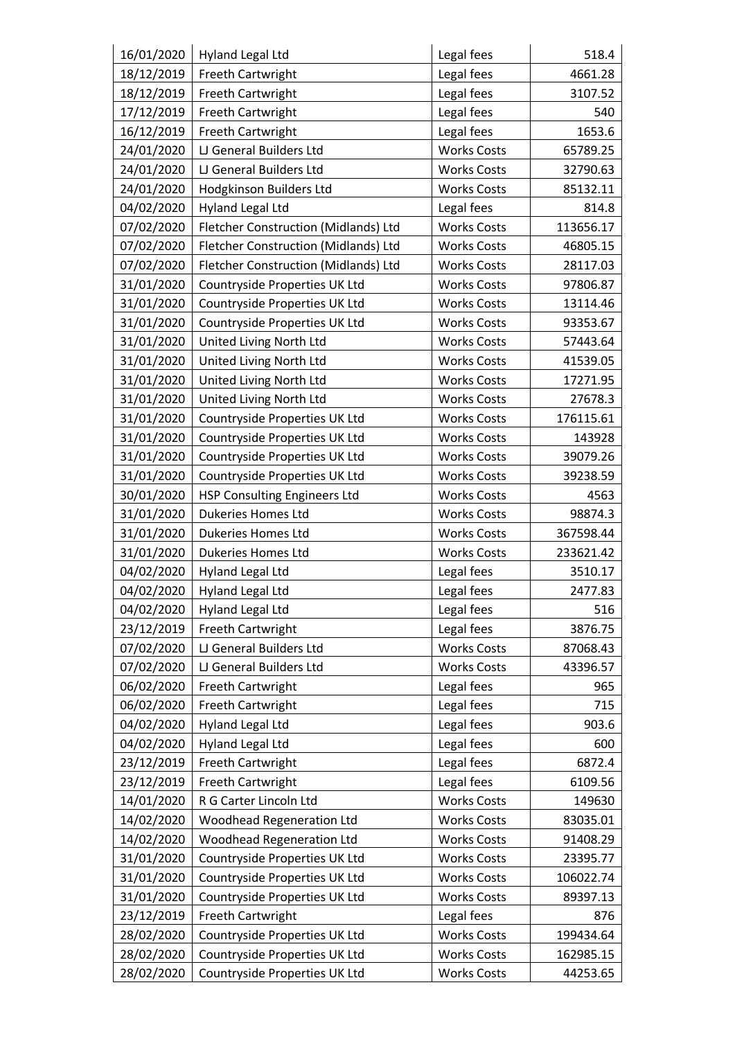| 16/01/2020 | <b>Hyland Legal Ltd</b>              | Legal fees         | 518.4     |
|------------|--------------------------------------|--------------------|-----------|
| 18/12/2019 | Freeth Cartwright                    | Legal fees         | 4661.28   |
| 18/12/2019 | Freeth Cartwright                    | Legal fees         | 3107.52   |
| 17/12/2019 | Freeth Cartwright                    | Legal fees         | 540       |
| 16/12/2019 | Freeth Cartwright                    | Legal fees         | 1653.6    |
| 24/01/2020 | LJ General Builders Ltd              | <b>Works Costs</b> | 65789.25  |
| 24/01/2020 | LJ General Builders Ltd              | <b>Works Costs</b> | 32790.63  |
| 24/01/2020 | Hodgkinson Builders Ltd              | <b>Works Costs</b> | 85132.11  |
| 04/02/2020 | <b>Hyland Legal Ltd</b>              | Legal fees         | 814.8     |
| 07/02/2020 | Fletcher Construction (Midlands) Ltd | <b>Works Costs</b> | 113656.17 |
| 07/02/2020 | Fletcher Construction (Midlands) Ltd | <b>Works Costs</b> | 46805.15  |
| 07/02/2020 | Fletcher Construction (Midlands) Ltd | <b>Works Costs</b> | 28117.03  |
| 31/01/2020 | Countryside Properties UK Ltd        | <b>Works Costs</b> | 97806.87  |
| 31/01/2020 | Countryside Properties UK Ltd        | <b>Works Costs</b> | 13114.46  |
| 31/01/2020 | Countryside Properties UK Ltd        | <b>Works Costs</b> | 93353.67  |
| 31/01/2020 | United Living North Ltd              | <b>Works Costs</b> | 57443.64  |
| 31/01/2020 | United Living North Ltd              | <b>Works Costs</b> | 41539.05  |
| 31/01/2020 | United Living North Ltd              | <b>Works Costs</b> | 17271.95  |
| 31/01/2020 | United Living North Ltd              | <b>Works Costs</b> | 27678.3   |
| 31/01/2020 | Countryside Properties UK Ltd        | <b>Works Costs</b> | 176115.61 |
| 31/01/2020 | Countryside Properties UK Ltd        | <b>Works Costs</b> | 143928    |
| 31/01/2020 | Countryside Properties UK Ltd        | <b>Works Costs</b> | 39079.26  |
| 31/01/2020 | Countryside Properties UK Ltd        | <b>Works Costs</b> | 39238.59  |
| 30/01/2020 | <b>HSP Consulting Engineers Ltd</b>  | <b>Works Costs</b> | 4563      |
| 31/01/2020 | <b>Dukeries Homes Ltd</b>            | <b>Works Costs</b> | 98874.3   |
| 31/01/2020 | Dukeries Homes Ltd                   | <b>Works Costs</b> | 367598.44 |
| 31/01/2020 | Dukeries Homes Ltd                   | <b>Works Costs</b> | 233621.42 |
| 04/02/2020 | <b>Hyland Legal Ltd</b>              | Legal fees         | 3510.17   |
| 04/02/2020 | <b>Hyland Legal Ltd</b>              | Legal fees         | 2477.83   |
| 04/02/2020 | <b>Hyland Legal Ltd</b>              | Legal fees         | 516       |
| 23/12/2019 | Freeth Cartwright                    | Legal fees         | 3876.75   |
| 07/02/2020 | LJ General Builders Ltd              | <b>Works Costs</b> | 87068.43  |
| 07/02/2020 | LJ General Builders Ltd              | <b>Works Costs</b> | 43396.57  |
| 06/02/2020 | Freeth Cartwright                    | Legal fees         | 965       |
| 06/02/2020 | Freeth Cartwright                    | Legal fees         | 715       |
| 04/02/2020 | <b>Hyland Legal Ltd</b>              | Legal fees         | 903.6     |
| 04/02/2020 | <b>Hyland Legal Ltd</b>              | Legal fees         | 600       |
| 23/12/2019 | Freeth Cartwright                    | Legal fees         | 6872.4    |
| 23/12/2019 | Freeth Cartwright                    | Legal fees         | 6109.56   |
| 14/01/2020 | R G Carter Lincoln Ltd               | <b>Works Costs</b> | 149630    |
| 14/02/2020 | <b>Woodhead Regeneration Ltd</b>     | <b>Works Costs</b> | 83035.01  |
| 14/02/2020 | <b>Woodhead Regeneration Ltd</b>     | <b>Works Costs</b> | 91408.29  |
| 31/01/2020 | Countryside Properties UK Ltd        | <b>Works Costs</b> | 23395.77  |
| 31/01/2020 | Countryside Properties UK Ltd        | <b>Works Costs</b> | 106022.74 |
| 31/01/2020 | Countryside Properties UK Ltd        | <b>Works Costs</b> | 89397.13  |
| 23/12/2019 | Freeth Cartwright                    | Legal fees         | 876       |
| 28/02/2020 | Countryside Properties UK Ltd        | <b>Works Costs</b> | 199434.64 |
| 28/02/2020 | Countryside Properties UK Ltd        | <b>Works Costs</b> | 162985.15 |
| 28/02/2020 | Countryside Properties UK Ltd        | <b>Works Costs</b> | 44253.65  |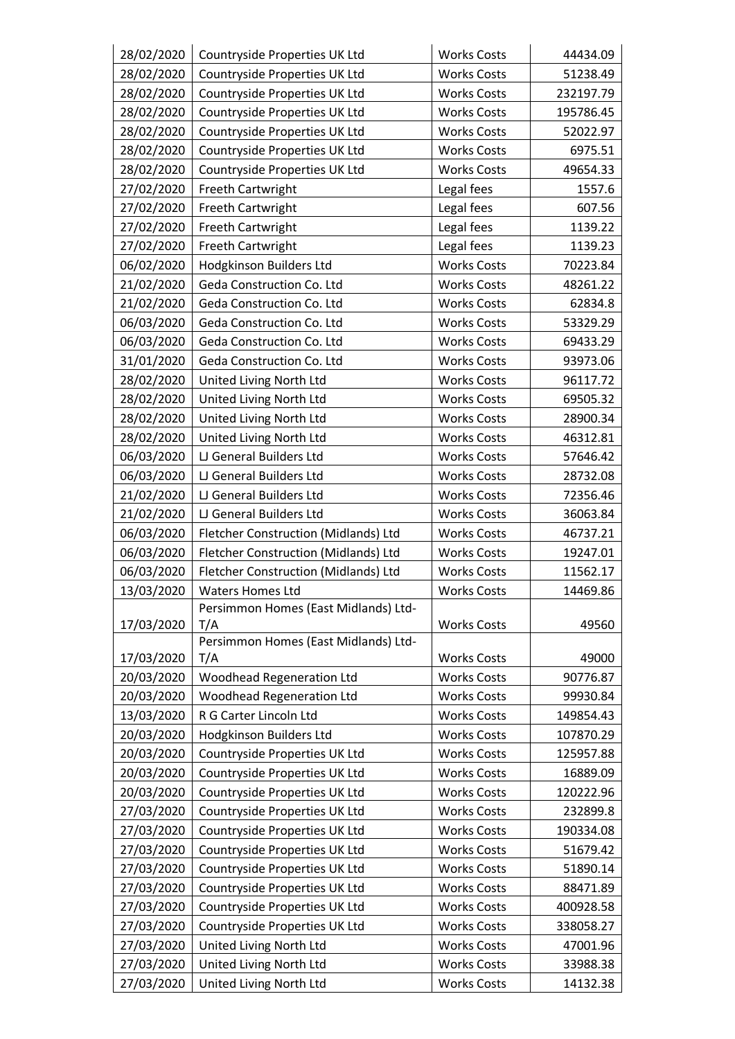| 28/02/2020 | Countryside Properties UK Ltd               | <b>Works Costs</b> | 44434.09  |
|------------|---------------------------------------------|--------------------|-----------|
| 28/02/2020 | Countryside Properties UK Ltd               | <b>Works Costs</b> | 51238.49  |
| 28/02/2020 | Countryside Properties UK Ltd               | <b>Works Costs</b> | 232197.79 |
| 28/02/2020 | Countryside Properties UK Ltd               | <b>Works Costs</b> | 195786.45 |
| 28/02/2020 | Countryside Properties UK Ltd               | <b>Works Costs</b> | 52022.97  |
| 28/02/2020 | Countryside Properties UK Ltd               | <b>Works Costs</b> | 6975.51   |
| 28/02/2020 | Countryside Properties UK Ltd               | <b>Works Costs</b> | 49654.33  |
| 27/02/2020 | Freeth Cartwright                           | Legal fees         | 1557.6    |
| 27/02/2020 | Freeth Cartwright                           | Legal fees         | 607.56    |
| 27/02/2020 | Freeth Cartwright                           | Legal fees         | 1139.22   |
| 27/02/2020 | Freeth Cartwright                           | Legal fees         | 1139.23   |
| 06/02/2020 | Hodgkinson Builders Ltd                     | <b>Works Costs</b> | 70223.84  |
| 21/02/2020 | Geda Construction Co. Ltd                   | <b>Works Costs</b> | 48261.22  |
| 21/02/2020 | Geda Construction Co. Ltd                   | <b>Works Costs</b> | 62834.8   |
| 06/03/2020 | Geda Construction Co. Ltd                   | <b>Works Costs</b> | 53329.29  |
| 06/03/2020 | Geda Construction Co. Ltd                   | <b>Works Costs</b> | 69433.29  |
| 31/01/2020 | Geda Construction Co. Ltd                   | <b>Works Costs</b> | 93973.06  |
| 28/02/2020 | United Living North Ltd                     | <b>Works Costs</b> | 96117.72  |
| 28/02/2020 | United Living North Ltd                     | <b>Works Costs</b> | 69505.32  |
| 28/02/2020 | United Living North Ltd                     | <b>Works Costs</b> | 28900.34  |
| 28/02/2020 | United Living North Ltd                     | <b>Works Costs</b> | 46312.81  |
| 06/03/2020 | LJ General Builders Ltd                     | <b>Works Costs</b> | 57646.42  |
| 06/03/2020 | LJ General Builders Ltd                     | <b>Works Costs</b> | 28732.08  |
| 21/02/2020 | LJ General Builders Ltd                     | <b>Works Costs</b> | 72356.46  |
| 21/02/2020 | LJ General Builders Ltd                     | <b>Works Costs</b> | 36063.84  |
| 06/03/2020 | Fletcher Construction (Midlands) Ltd        | <b>Works Costs</b> | 46737.21  |
| 06/03/2020 | Fletcher Construction (Midlands) Ltd        | <b>Works Costs</b> | 19247.01  |
| 06/03/2020 | Fletcher Construction (Midlands) Ltd        | <b>Works Costs</b> | 11562.17  |
| 13/03/2020 | <b>Waters Homes Ltd</b>                     | <b>Works Costs</b> | 14469.86  |
|            | Persimmon Homes (East Midlands) Ltd-        |                    |           |
| 17/03/2020 | T/A                                         | <b>Works Costs</b> | 49560     |
| 17/03/2020 | Persimmon Homes (East Midlands) Ltd-<br>T/A | <b>Works Costs</b> | 49000     |
| 20/03/2020 | <b>Woodhead Regeneration Ltd</b>            | <b>Works Costs</b> | 90776.87  |
| 20/03/2020 | <b>Woodhead Regeneration Ltd</b>            | <b>Works Costs</b> | 99930.84  |
| 13/03/2020 | R G Carter Lincoln Ltd                      | <b>Works Costs</b> | 149854.43 |
| 20/03/2020 | Hodgkinson Builders Ltd                     | <b>Works Costs</b> | 107870.29 |
| 20/03/2020 | Countryside Properties UK Ltd               | <b>Works Costs</b> | 125957.88 |
| 20/03/2020 | Countryside Properties UK Ltd               | <b>Works Costs</b> | 16889.09  |
| 20/03/2020 | Countryside Properties UK Ltd               | <b>Works Costs</b> | 120222.96 |
| 27/03/2020 | Countryside Properties UK Ltd               | <b>Works Costs</b> | 232899.8  |
| 27/03/2020 | Countryside Properties UK Ltd               | <b>Works Costs</b> | 190334.08 |
| 27/03/2020 | Countryside Properties UK Ltd               | <b>Works Costs</b> | 51679.42  |
| 27/03/2020 | Countryside Properties UK Ltd               | <b>Works Costs</b> | 51890.14  |
| 27/03/2020 | Countryside Properties UK Ltd               | <b>Works Costs</b> | 88471.89  |
| 27/03/2020 | Countryside Properties UK Ltd               | <b>Works Costs</b> | 400928.58 |
| 27/03/2020 | Countryside Properties UK Ltd               | <b>Works Costs</b> | 338058.27 |
| 27/03/2020 | United Living North Ltd                     | <b>Works Costs</b> | 47001.96  |
| 27/03/2020 | United Living North Ltd                     | <b>Works Costs</b> | 33988.38  |
| 27/03/2020 | United Living North Ltd                     | <b>Works Costs</b> | 14132.38  |